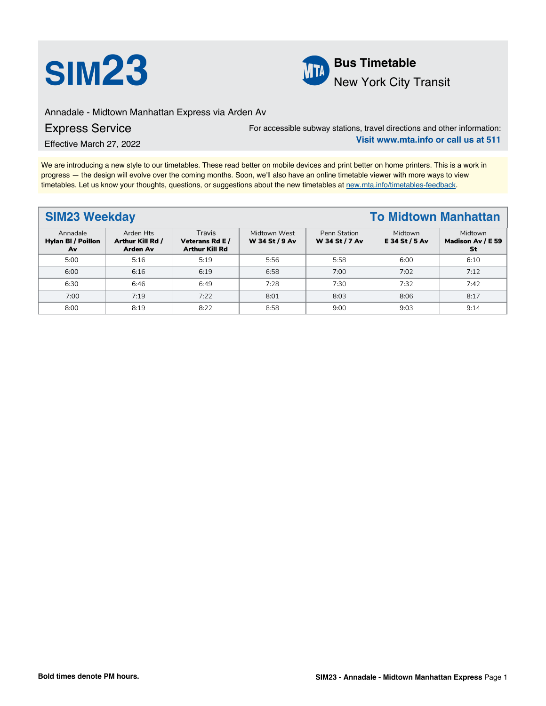



Annadale - Midtown Manhattan Express via Arden Av

Express Service

Effective March 27, 2022

For accessible subway stations, travel directions and other information: **Visit www.mta.info or call us at 511**

We are introducing a new style to our timetables. These read better on mobile devices and print better on home printers. This is a work in progress — the design will evolve over the coming months. Soon, we'll also have an online timetable viewer with more ways to view timetables. Let us know your thoughts, questions, or suggestions about the new timetables at [new.mta.info/timetables-feedback](https://new.mta.info/timetables-feedback).

### **SIM23 Weekday To Midtown Manhattan** Annadale **Hylan Bl /** Poillon **Av** Arden Hts **Arthur Kill Rd / Arden Av** Travis **Vet**e**rans Rd E / Arthur Kill Rd** Midtown West **W 34 St / 9 Av** Penn Station **W 34 St / 7 Av** Midtown **E 34 St / 5 Av** Midtown **Madison Av / E 59 St** 5:00 | 5:16 | 5:19 | 5:56 | 5:58 | 6:00 | 6:10 6:00 6:16 6:19 6:58 7:00 7:02 7:12 6:30 6:46 6:49 7:28 7:30 7:32 7:42 7:00 | 7:19 | 7:22 | 8:01 | 8:03 | 8:06 | 8:17 8:00 | 8:19 | 8:22 | 8:58 | 9:00 | 9:03 | 9:14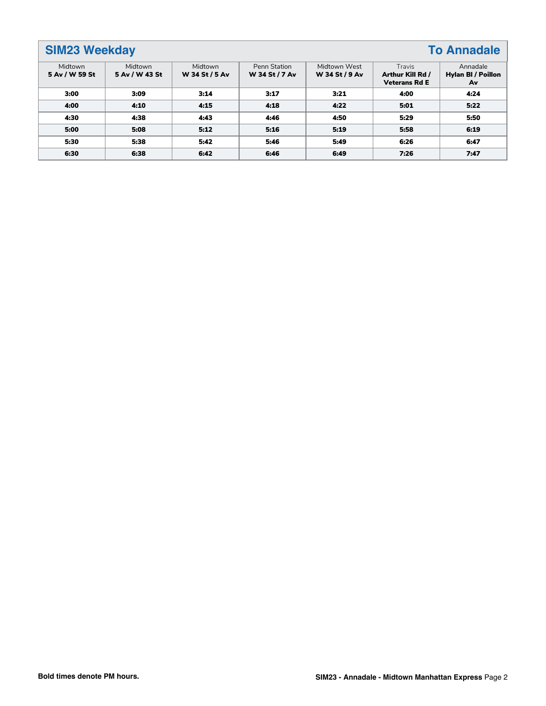# **SIM23 Weekday To Annadale**

| Midtown<br>5 Av / W 59 St | Midtown<br>5 Av / W 43 St | Midtown<br>W 34 St / 5 Av | Penn Station<br>W 34 St / 7 Av | Midtown West<br>W 34 St / 9 Av | Travis<br>Arthur Kill Rd /<br><b>Veterans Rd E</b> | Annadale<br><b>Hylan BI / Poillon</b><br>Av |
|---------------------------|---------------------------|---------------------------|--------------------------------|--------------------------------|----------------------------------------------------|---------------------------------------------|
| 3:00                      | 3:09                      | 3:14                      | 3:17                           | 3:21                           | 4:00                                               | 4:24                                        |
| 4:00                      | 4:10                      | 4:15                      | 4:18                           | 4:22                           | 5:01                                               | 5:22                                        |
| 4:30                      | 4:38                      | 4:43                      | 4:46                           | 4:50                           | 5:29                                               | 5:50                                        |
| 5:00                      | 5:08                      | 5:12                      | 5:16                           | 5:19                           | 5:58                                               | 6:19                                        |
| 5:30                      | 5:38                      | 5:42                      | 5:46                           | 5:49                           | 6:26                                               | 6:47                                        |
| 6:30                      | 6:38                      | 6:42                      | 6:46                           | 6:49                           | 7:26                                               | 7:47                                        |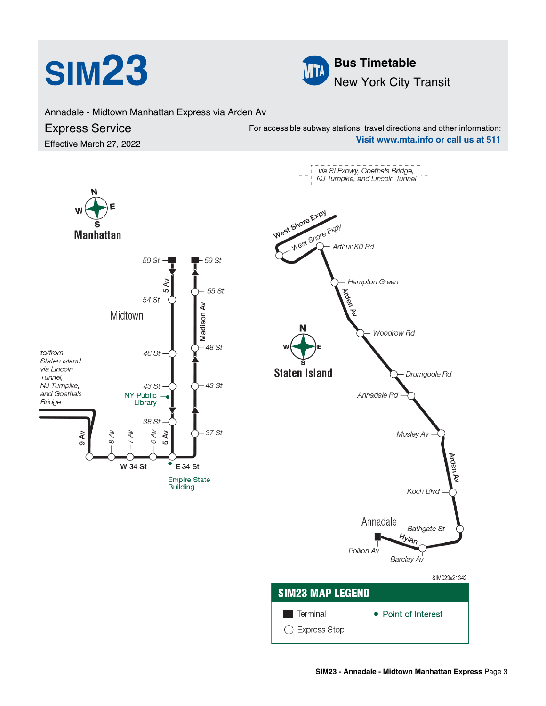



Annadale - Midtown Manhattan Express via Arden Av

## Express Service

Effective March 27, 2022

For accessible subway stations, travel directions and other information: **Visit www.mta.info or call us at 511**

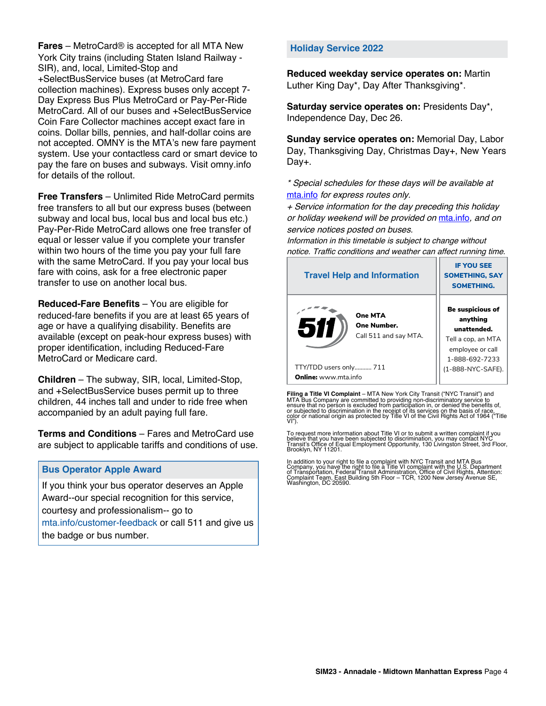**Fares** – MetroCard® is accepted for all MTA New York City trains (including Staten Island Railway - SIR), and, local, Limited-Stop and +SelectBusService buses (at MetroCard fare collection machines). Express buses only accept 7- Day Express Bus Plus MetroCard or Pay-Per-Ride MetroCard. All of our buses and +SelectBusService Coin Fare Collector machines accept exact fare in coins. Dollar bills, pennies, and half-dollar coins are not accepted. OMNY is the MTA's new fare payment system. Use your contactless card or smart device to pay the fare on buses and subways. Visit omny.info for details of the rollout.

**Free Transfers** – Unlimited Ride MetroCard permits free transfers to all but our express buses (between subway and local bus, local bus and local bus etc.) Pay-Per-Ride MetroCard allows one free transfer of equal or lesser value if you complete your transfer within two hours of the time you pay your full fare with the same MetroCard. If you pay your local bus fare with coins, ask for a free electronic paper transfer to use on another local bus.

**Reduced-Fare Benefits** – You are eligible for reduced-fare benefits if you are at least 65 years of age or have a qualifying disability. Benefits are available (except on peak-hour express buses) with proper identification, including Reduced-Fare MetroCard or Medicare card.

**Children** – The subway, SIR, local, Limited-Stop, and +SelectBusService buses permit up to three children, 44 inches tall and under to ride free when accompanied by an adult paying full fare.

**Terms and Conditions** – Fares and MetroCard use are subject to applicable tariffs and conditions of use.

## **Bus Operator Apple Award**

If you think your bus operator deserves an Apple Award--our special recognition for this service, courtesy and professionalism-- go to mta.info/customer-feedback or call 511 and give us the badge or bus number.

## **Holiday Service 2022**

**Reduced weekday service operates on:** Martin Luther King Day\*, Day After Thanksgiving\*.

**Saturday service operates on:** Presidents Day\*, Independence Day, Dec 26.

**Sunday service operates on:** Memorial Day, Labor Day, Thanksgiving Day, Christmas Day+, New Years Day+.

\* Special schedules for these days will be available at [mta.info](https://new.mta.info/) for express routes only.

+ Service information for the day preceding this holiday or holiday weekend will be provided on [mta.info](https://new.mta.info/), and on service notices posted on buses.

Information in this timetable is subject to change without notice. Traffic conditions and weather can affect running time.

| <b>Travel Help and Information</b>                     | <b>IF YOU SEE</b><br><b>SOMETHING, SAY</b><br><b>SOMETHING.</b>                                         |  |
|--------------------------------------------------------|---------------------------------------------------------------------------------------------------------|--|
| One MTA<br>511<br>One Number.<br>Call 511 and say MTA. | Be suspicious of<br>anything<br>unattended.<br>Tell a cop, an MTA<br>employee or call<br>1-888-692-7233 |  |
| TTY/TDD users only 711                                 | (1-888-NYC-SAFE).                                                                                       |  |
| <b>Online:</b> www.mta.info                            |                                                                                                         |  |

**Filing a Title VI Complaint** – MTA New York City Transit ("NYC Transit") and<br>MTA Bus Company are committed to providing non-discriminatory service to<br>ensure that no person is excluded from participation in, or denied the

To request more information about Title VI or to submit a written complaint if you believe that you have been subjected to discrimination, you may contact NYC<br>Transit's Office of Equal Employment Opportunity, 130 Livingston Street, 3rd Floor,<br>Brooklyn, NY 11201.

In addition to your right to file a complaint with NYC Transit and MTA Bus<br>Company, you have the right to file a Title VI complaint with the U.S. Department<br>of Transportation, Federal Transit Administration, Office of Civi